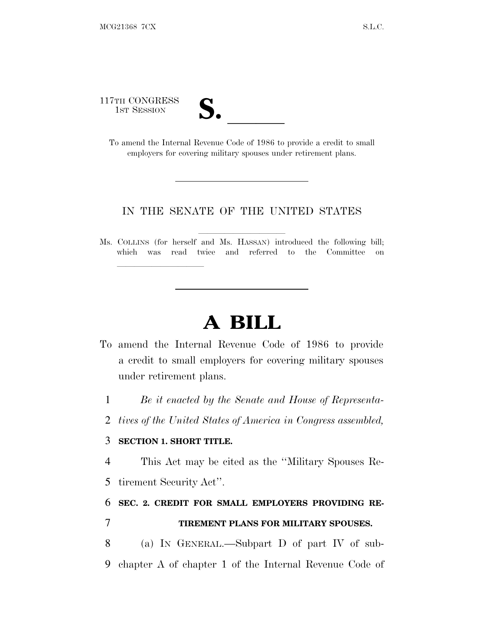117TH CONGRESS

| $\mathbf{v}$            |  |
|-------------------------|--|
| $\overline{\mathsf{v}}$ |  |

TH CONGRESS<br>
1ST SESSION<br>
To amend the Internal Revenue Code of 1986 to provide a credit to small employers for covering military spouses under retirement plans.

#### IN THE SENATE OF THE UNITED STATES

Ms. COLLINS (for herself and Ms. HASSAN) introduced the following bill; which was read twice and referred to the Committee on

# **A BILL**

- To amend the Internal Revenue Code of 1986 to provide a credit to small employers for covering military spouses under retirement plans.
	- 1 *Be it enacted by the Senate and House of Representa-*
	- 2 *tives of the United States of America in Congress assembled,*

#### 3 **SECTION 1. SHORT TITLE.**

lla se al consegue de la consegue de la consegue de la consegue de la consegue de la consegue de la consegue d<br>La consegue de la consegue de la consegue de la consegue de la consegue de la consegue de la consegue de la co

4 This Act may be cited as the ''Military Spouses Re-

5 tirement Security Act''.

### 6 **SEC. 2. CREDIT FOR SMALL EMPLOYERS PROVIDING RE-**7 **TIREMENT PLANS FOR MILITARY SPOUSES.**

8 (a) I<sup>N</sup> GENERAL.—Subpart D of part IV of sub-9 chapter A of chapter 1 of the Internal Revenue Code of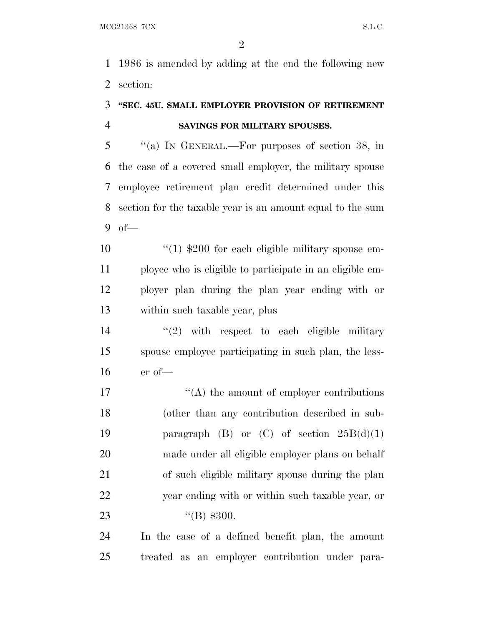1986 is amended by adding at the end the following new section:

## **''SEC. 45U. SMALL EMPLOYER PROVISION OF RETIREMENT SAVINGS FOR MILITARY SPOUSES.**

 ''(a) I<sup>N</sup> GENERAL.—For purposes of section 38, in the case of a covered small employer, the military spouse employee retirement plan credit determined under this section for the taxable year is an amount equal to the sum of—

 ''(1) \$200 for each eligible military spouse em- ployee who is eligible to participate in an eligible em- ployer plan during the plan year ending with or within such taxable year, plus

14  $(2)$  with respect to each eligible military spouse employee participating in such plan, the less-er of—

 $\mathcal{L}(\mathbf{A})$  the amount of employer contributions (other than any contribution described in sub-19 paragraph  $(B)$  or  $(C)$  of section  $25B(d)(1)$  made under all eligible employer plans on behalf of such eligible military spouse during the plan year ending with or within such taxable year, or 23 (B) \$300.

 In the case of a defined benefit plan, the amount treated as an employer contribution under para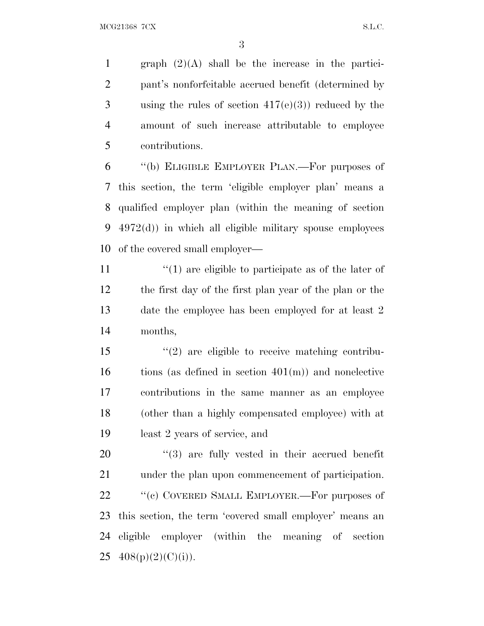$MCG21368$   $7CX$  S.L.C.

1 graph  $(2)(A)$  shall be the increase in the partici- pant's nonforfeitable accrued benefit (determined by using the rules of section 417(e)(3)) reduced by the amount of such increase attributable to employee contributions.

 ''(b) ELIGIBLE EMPLOYER PLAN.—For purposes of this section, the term 'eligible employer plan' means a qualified employer plan (within the meaning of section 4972(d)) in which all eligible military spouse employees of the covered small employer—

 $\langle \cdot (1) \rangle$  are eligible to participate as of the later of the first day of the first plan year of the plan or the date the employee has been employed for at least 2 months,

 ''(2) are eligible to receive matching contribu- tions (as defined in section  $401(m)$ ) and nonelective contributions in the same manner as an employee (other than a highly compensated employee) with at least 2 years of service, and

 $(3)$  are fully vested in their accrued benefit under the plan upon commencement of participation. 22 " (c) COVERED SMALL EMPLOYER.—For purposes of this section, the term 'covered small employer' means an eligible employer (within the meaning of section  $25 \quad 408(p)(2)(C)(i)$ ).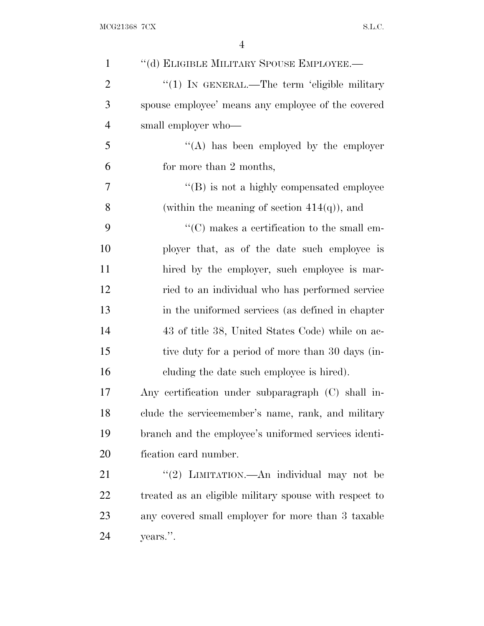| $\mathbf{1}$   | "(d) ELIGIBLE MILITARY SPOUSE EMPLOYEE.-               |
|----------------|--------------------------------------------------------|
| $\overline{2}$ | " $(1)$ In GENERAL.—The term 'eligible military'       |
| 3              | spouse employee' means any employee of the covered     |
| $\overline{4}$ | small employer who-                                    |
| 5              | $\lq\lq$ has been employed by the employer             |
| 6              | for more than 2 months,                                |
| 7              | $\lq\lq (B)$ is not a highly compensated employee      |
| 8              | (within the meaning of section $414(q)$ ), and         |
| 9              | "(C) makes a certification to the small em-            |
| 10             | ployer that, as of the date such employee is           |
| 11             | hired by the employer, such employee is mar-           |
| 12             | ried to an individual who has performed service        |
| 13             | in the uniformed services (as defined in chapter       |
| 14             | 43 of title 38, United States Code) while on ac-       |
| 15             | tive duty for a period of more than 30 days (in-       |
| 16             | cluding the date such employee is hired).              |
| 17             | Any certification under subparagraph (C) shall in-     |
| 18             | clude the servicemember's name, rank, and military     |
| 19             | branch and the employee's uniformed services identi-   |
| 20             | fication card number.                                  |
| 21             | "(2) LIMITATION.—An individual may not be              |
| 22             | treated as an eligible military spouse with respect to |
| 23             | any covered small employer for more than 3 taxable     |
| 24             | years.".                                               |